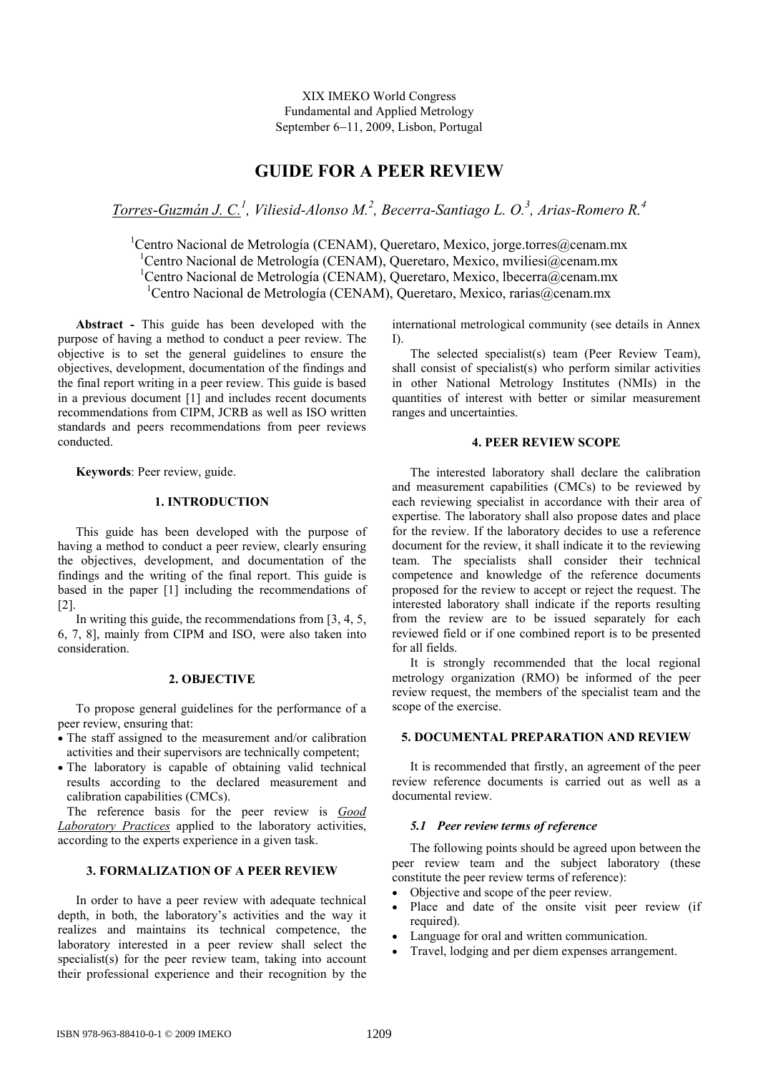XIX IMEKO World Congress Fundamental and Applied Metrology September 6−11, 2009, Lisbon, Portugal

# GUIDE FOR A PEER REVIEW

Torres-Guzmán J. C.<sup>1</sup>, Viliesid-Alonso M.<sup>2</sup>, Becerra-Santiago L. O.<sup>3</sup>, Arias-Romero R.<sup>4</sup>

<sup>1</sup>Centro Nacional de Metrología (CENAM), Queretaro, Mexico, jorge.torres@cenam.mx <sup>1</sup>Centro Nacional de Metrología (CENAM), Queretaro, Mexico, mviliesi $@c$ enam.mx <sup>1</sup>Centro Nacional de Metrología (CENAM), Queretaro, Mexico, lbecerra@cenam.mx <sup>1</sup>Centro Nacional de Metrología (CENAM), Queretaro, Mexico, rarias@cenam.mx

Abstract - This guide has been developed with the purpose of having a method to conduct a peer review. The objective is to set the general guidelines to ensure the objectives, development, documentation of the findings and the final report writing in a peer review. This guide is based in a previous document [1] and includes recent documents recommendations from CIPM, JCRB as well as ISO written standards and peers recommendations from peer reviews conducted.

Keywords: Peer review, guide.

## 1. INTRODUCTION

This guide has been developed with the purpose of having a method to conduct a peer review, clearly ensuring the objectives, development, and documentation of the findings and the writing of the final report. This guide is based in the paper [1] including the recommendations of [2].

In writing this guide, the recommendations from [3, 4, 5, 6, 7, 8], mainly from CIPM and ISO, were also taken into consideration.

## 2. OBJECTIVE

To propose general guidelines for the performance of a peer review, ensuring that:

- The staff assigned to the measurement and/or calibration activities and their supervisors are technically competent;
- The laboratory is capable of obtaining valid technical results according to the declared measurement and calibration capabilities (CMCs).

The reference basis for the peer review is Good Laboratory Practices applied to the laboratory activities, according to the experts experience in a given task.

## 3. FORMALIZATION OF A PEER REVIEW

In order to have a peer review with adequate technical depth, in both, the laboratory's activities and the way it realizes and maintains its technical competence, the laboratory interested in a peer review shall select the specialist(s) for the peer review team, taking into account their professional experience and their recognition by the

international metrological community (see details in Annex I).

The selected specialist(s) team (Peer Review Team), shall consist of specialist(s) who perform similar activities in other National Metrology Institutes (NMIs) in the quantities of interest with better or similar measurement ranges and uncertainties.

#### 4. PEER REVIEW SCOPE

The interested laboratory shall declare the calibration and measurement capabilities (CMCs) to be reviewed by each reviewing specialist in accordance with their area of expertise. The laboratory shall also propose dates and place for the review. If the laboratory decides to use a reference document for the review, it shall indicate it to the reviewing team. The specialists shall consider their technical competence and knowledge of the reference documents proposed for the review to accept or reject the request. The interested laboratory shall indicate if the reports resulting from the review are to be issued separately for each reviewed field or if one combined report is to be presented for all fields.

It is strongly recommended that the local regional metrology organization (RMO) be informed of the peer review request, the members of the specialist team and the scope of the exercise.

## 5. DOCUMENTAL PREPARATION AND REVIEW

It is recommended that firstly, an agreement of the peer review reference documents is carried out as well as a documental review.

#### 5.1 Peer review terms of reference

The following points should be agreed upon between the peer review team and the subject laboratory (these constitute the peer review terms of reference):

- Objective and scope of the peer review.
- Place and date of the onsite visit peer review (if required).
- Language for oral and written communication.
- Travel, lodging and per diem expenses arrangement.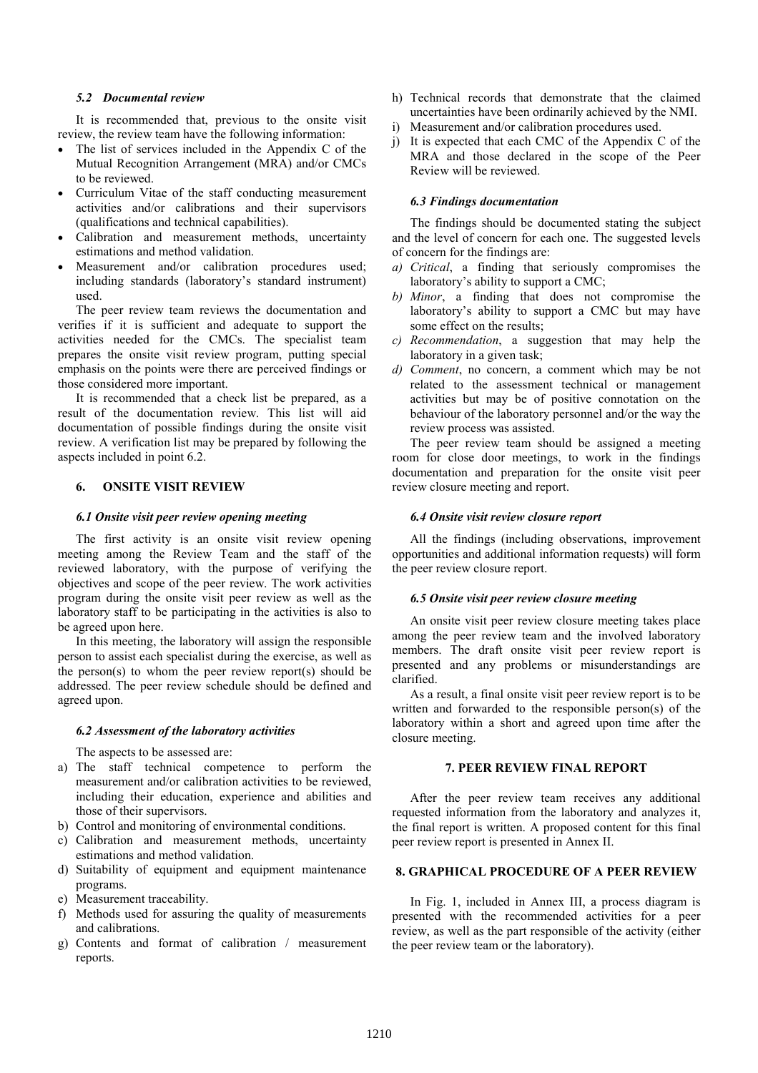## 5.2 Documental review

It is recommended that, previous to the onsite visit review, the review team have the following information:

- The list of services included in the Appendix C of the Mutual Recognition Arrangement (MRA) and/or CMCs to be reviewed.
- Curriculum Vitae of the staff conducting measurement activities and/or calibrations and their supervisors (qualifications and technical capabilities).
- Calibration and measurement methods, uncertainty estimations and method validation.
- Measurement and/or calibration procedures used; including standards (laboratory's standard instrument) used.

The peer review team reviews the documentation and verifies if it is sufficient and adequate to support the activities needed for the CMCs. The specialist team prepares the onsite visit review program, putting special emphasis on the points were there are perceived findings or those considered more important.

It is recommended that a check list be prepared, as a result of the documentation review. This list will aid documentation of possible findings during the onsite visit review. A verification list may be prepared by following the aspects included in point 6.2.

## 6. ONSITE VISIT REVIEW

#### 6.1 Onsite visit peer review opening meeting

The first activity is an onsite visit review opening meeting among the Review Team and the staff of the reviewed laboratory, with the purpose of verifying the objectives and scope of the peer review. The work activities program during the onsite visit peer review as well as the laboratory staff to be participating in the activities is also to be agreed upon here.

In this meeting, the laboratory will assign the responsible person to assist each specialist during the exercise, as well as the person(s) to whom the peer review report(s) should be addressed. The peer review schedule should be defined and agreed upon.

## 6.2 Assessment of the laboratory activities

The aspects to be assessed are:

- a) The staff technical competence to perform the measurement and/or calibration activities to be reviewed, including their education, experience and abilities and those of their supervisors.
- b) Control and monitoring of environmental conditions.
- c) Calibration and measurement methods, uncertainty estimations and method validation.
- d) Suitability of equipment and equipment maintenance programs.
- e) Measurement traceability.
- f) Methods used for assuring the quality of measurements and calibrations.
- g) Contents and format of calibration / measurement reports.
- h) Technical records that demonstrate that the claimed uncertainties have been ordinarily achieved by the NMI.
- i) Measurement and/or calibration procedures used.
- j) It is expected that each CMC of the Appendix C of the MRA and those declared in the scope of the Peer Review will be reviewed.

## 6.3 Findings documentation

The findings should be documented stating the subject and the level of concern for each one. The suggested levels of concern for the findings are:

- a) Critical, a finding that seriously compromises the laboratory's ability to support a CMC;
- b) Minor, a finding that does not compromise the laboratory's ability to support a CMC but may have some effect on the results;
- c) Recommendation, a suggestion that may help the laboratory in a given task;
- d) Comment, no concern, a comment which may be not related to the assessment technical or management activities but may be of positive connotation on the behaviour of the laboratory personnel and/or the way the review process was assisted.

The peer review team should be assigned a meeting room for close door meetings, to work in the findings documentation and preparation for the onsite visit peer review closure meeting and report.

#### 6.4 Onsite visit review closure report

All the findings (including observations, improvement opportunities and additional information requests) will form the peer review closure report.

#### 6.5 Onsite visit peer review closure meeting

An onsite visit peer review closure meeting takes place among the peer review team and the involved laboratory members. The draft onsite visit peer review report is presented and any problems or misunderstandings are clarified.

As a result, a final onsite visit peer review report is to be written and forwarded to the responsible person(s) of the laboratory within a short and agreed upon time after the closure meeting.

## 7. PEER REVIEW FINAL REPORT

After the peer review team receives any additional requested information from the laboratory and analyzes it, the final report is written. A proposed content for this final peer review report is presented in Annex II.

## 8. GRAPHICAL PROCEDURE OF A PEER REVIEW

In Fig. 1, included in Annex III, a process diagram is presented with the recommended activities for a peer review, as well as the part responsible of the activity (either the peer review team or the laboratory).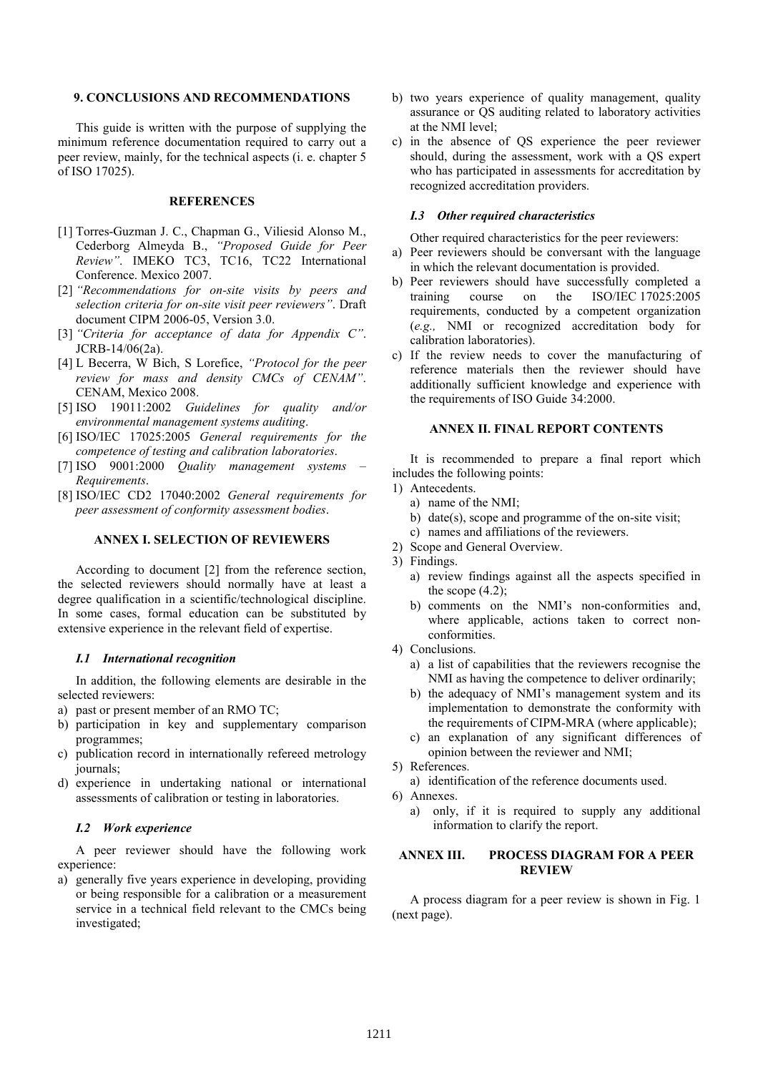## 9. CONCLUSIONS AND RECOMMENDATIONS

This guide is written with the purpose of supplying the minimum reference documentation required to carry out a peer review, mainly, for the technical aspects (i. e. chapter 5 of ISO 17025).

## **REFERENCES**

- [1] Torres-Guzman J. C., Chapman G., Viliesid Alonso M., Cederborg Almeyda B., "Proposed Guide for Peer Review". IMEKO TC3, TC16, TC22 International Conference. Mexico 2007.
- [2] "Recommendations for on-site visits by peers and selection criteria for on-site visit peer reviewers". Draft document CIPM 2006-05, Version 3.0.
- [3] "Criteria for acceptance of data for Appendix C". JCRB-14/06(2a).
- [4] L Becerra, W Bich, S Lorefice, "Protocol for the peer review for mass and density CMCs of CENAM". CENAM, Mexico 2008.
- [5] ISO 19011:2002 Guidelines for quality and/or environmental management systems auditing.
- [6] ISO/IEC 17025:2005 General requirements for the competence of testing and calibration laboratories.
- [7] ISO 9001:2000 Quality management systems Requirements.
- [8] ISO/IEC CD2 17040:2002 General requirements for peer assessment of conformity assessment bodies.

## ANNEX I. SELECTION OF REVIEWERS

According to document [2] from the reference section, the selected reviewers should normally have at least a degree qualification in a scientific/technological discipline. In some cases, formal education can be substituted by extensive experience in the relevant field of expertise.

## I.1 International recognition

In addition, the following elements are desirable in the selected reviewers:

- a) past or present member of an RMO TC;
- b) participation in key and supplementary comparison programmes;
- c) publication record in internationally refereed metrology journals;
- d) experience in undertaking national or international assessments of calibration or testing in laboratories.

#### I.2 Work experience

A peer reviewer should have the following work experience:

a) generally five years experience in developing, providing or being responsible for a calibration or a measurement service in a technical field relevant to the CMCs being investigated;

- b) two years experience of quality management, quality assurance or QS auditing related to laboratory activities at the NMI level;
- c) in the absence of QS experience the peer reviewer should, during the assessment, work with a QS expert who has participated in assessments for accreditation by recognized accreditation providers.

## I.3 Other required characteristics

Other required characteristics for the peer reviewers:

- a) Peer reviewers should be conversant with the language in which the relevant documentation is provided.
- b) Peer reviewers should have successfully completed a training course on the ISO/IEC 17025:2005 requirements, conducted by a competent organization (e.g., NMI or recognized accreditation body for calibration laboratories).
- c) If the review needs to cover the manufacturing of reference materials then the reviewer should have additionally sufficient knowledge and experience with the requirements of ISO Guide 34:2000.

## ANNEX II. FINAL REPORT CONTENTS

It is recommended to prepare a final report which includes the following points:

- 1) Antecedents.
	- a) name of the NMI;
	- b) date(s), scope and programme of the on-site visit;
	- c) names and affiliations of the reviewers.
- 2) Scope and General Overview.
- 3) Findings.
	- a) review findings against all the aspects specified in the scope  $(4.2)$ ;
	- b) comments on the NMI's non-conformities and, where applicable, actions taken to correct nonconformities.
- 4) Conclusions.
	- a) a list of capabilities that the reviewers recognise the NMI as having the competence to deliver ordinarily;
	- b) the adequacy of NMI's management system and its implementation to demonstrate the conformity with the requirements of CIPM-MRA (where applicable);
	- c) an explanation of any significant differences of opinion between the reviewer and NMI;
- 5) References.
	- a) identification of the reference documents used.
- 6) Annexes.
	- a) only, if it is required to supply any additional information to clarify the report.

## ANNEX III. PROCESS DIAGRAM FOR A PEER **REVIEW**

A process diagram for a peer review is shown in Fig. 1 (next page).